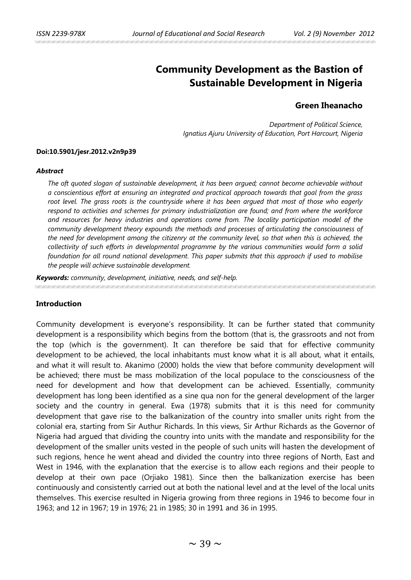# **Community Development as the Bastion of Sustainable Development in Nigeria**

## **Green Iheanacho**

*Department of Political Science, Ignatius Ajuru University of Education, Port Harcourt, Nigeria*

#### **Doi:10.5901/jesr.2012.v2n9p39**

#### *Abstract*

*The oft quoted slogan of sustainable development, it has been argued; cannot become achievable without a conscientious effort at ensuring an integrated and practical approach towards that goal from the grass*  root level. The grass roots is the countryside where it has been argued that most of those who eagerly *respond to activities and schemes for primary industrialization are found; and from where the workforce and resources for heavy industries and operations come from. The locality participation model of the community development theory expounds the methods and processes of articulating the consciousness of the need for development among the citizenry at the community level, so that when this is achieved, the collectivity of such efforts in developmental programme by the various communities would form a solid foundation for all round national development. This paper submits that this approach if used to mobilise the people will achieve sustainable development.* 

*Keywords: community, development, initiative, needs, and self-help.* 

#### **Introduction**

Community development is everyone's responsibility. It can be further stated that community development is a responsibility which begins from the bottom (that is, the grassroots and not from the top (which is the government). It can therefore be said that for effective community development to be achieved, the local inhabitants must know what it is all about, what it entails, and what it will result to. Akanimo (2000) holds the view that before community development will be achieved; there must be mass mobilization of the local populace to the consciousness of the need for development and how that development can be achieved. Essentially, community development has long been identified as a sine qua non for the general development of the larger society and the country in general. Ewa (1978) submits that it is this need for community development that gave rise to the balkanization of the country into smaller units right from the colonial era, starting from Sir Authur Richards. In this views, Sir Arthur Richards as the Governor of Nigeria had argued that dividing the country into units with the mandate and responsibility for the development of the smaller units vested in the people of such units will hasten the development of such regions, hence he went ahead and divided the country into three regions of North, East and West in 1946, with the explanation that the exercise is to allow each regions and their people to develop at their own pace (Orjiako 1981). Since then the balkanization exercise has been continuously and consistently carried out at both the national level and at the level of the local units themselves. This exercise resulted in Nigeria growing from three regions in 1946 to become four in 1963; and 12 in 1967; 19 in 1976; 21 in 1985; 30 in 1991 and 36 in 1995.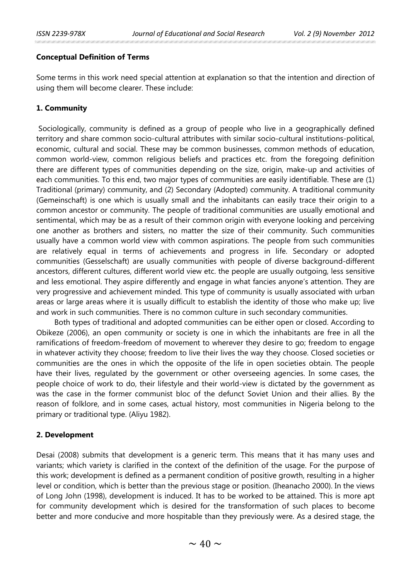#### **Conceptual Definition of Terms**

Some terms in this work need special attention at explanation so that the intention and direction of using them will become clearer. These include:

## **1. Community**

Sociologically, community is defined as a group of people who live in a geographically defined territory and share common socio-cultural attributes with similar socio-cultural institutions-political, economic, cultural and social. These may be common businesses, common methods of education, common world-view, common religious beliefs and practices etc. from the foregoing definition there are different types of communities depending on the size, origin, make-up and activities of each communities. To this end, two major types of communities are easily identifiable. These are (1) Traditional (primary) community, and (2) Secondary (Adopted) community. A traditional community (Gemeinschaft) is one which is usually small and the inhabitants can easily trace their origin to a common ancestor or community. The people of traditional communities are usually emotional and sentimental, which may be as a result of their common origin with everyone looking and perceiving one another as brothers and sisters, no matter the size of their community. Such communities usually have a common world view with common aspirations. The people from such communities are relatively equal in terms of achievements and progress in life. Secondary or adopted communities (Gesselschaft) are usually communities with people of diverse background-different ancestors, different cultures, different world view etc. the people are usually outgoing, less sensitive and less emotional. They aspire differently and engage in what fancies anyone's attention. They are very progressive and achievement minded. This type of community is usually associated with urban areas or large areas where it is usually difficult to establish the identity of those who make up; live and work in such communities. There is no common culture in such secondary communities.

Both types of traditional and adopted communities can be either open or closed. According to Obikeze (2006), an open community or society is one in which the inhabitants are free in all the ramifications of freedom-freedom of movement to wherever they desire to go; freedom to engage in whatever activity they choose; freedom to live their lives the way they choose. Closed societies or communities are the ones in which the opposite of the life in open societies obtain. The people have their lives, regulated by the government or other overseeing agencies. In some cases, the people choice of work to do, their lifestyle and their world-view is dictated by the government as was the case in the former communist bloc of the defunct Soviet Union and their allies. By the reason of folklore, and in some cases, actual history, most communities in Nigeria belong to the primary or traditional type. (Aliyu 1982).

### **2. Development**

Desai (2008) submits that development is a generic term. This means that it has many uses and variants; which variety is clarified in the context of the definition of the usage. For the purpose of this work; development is defined as a permanent condition of positive growth, resulting in a higher level or condition, which is better than the previous stage or position. (Iheanacho 2000). In the views of Long John (1998), development is induced. It has to be worked to be attained. This is more apt for community development which is desired for the transformation of such places to become better and more conducive and more hospitable than they previously were. As a desired stage, the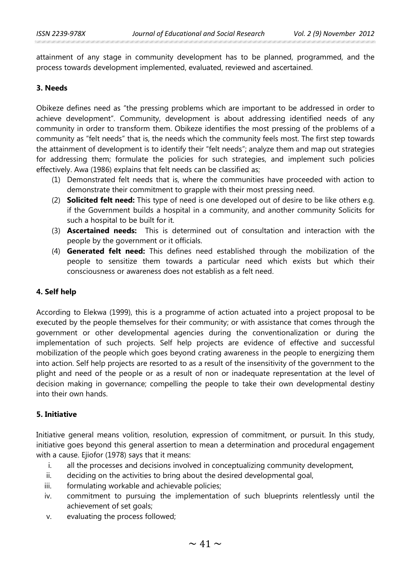attainment of any stage in community development has to be planned, programmed, and the process towards development implemented, evaluated, reviewed and ascertained.

#### **3. Needs**

Obikeze defines need as "the pressing problems which are important to be addressed in order to achieve development". Community, development is about addressing identified needs of any community in order to transform them. Obikeze identifies the most pressing of the problems of a community as "felt needs" that is, the needs which the community feels most. The first step towards the attainment of development is to identify their "felt needs"; analyze them and map out strategies for addressing them; formulate the policies for such strategies, and implement such policies effectively. Awa (1986) explains that felt needs can be classified as;

- (1) Demonstrated felt needs that is, where the communities have proceeded with action to demonstrate their commitment to grapple with their most pressing need.
- (2) **Solicited felt need:** This type of need is one developed out of desire to be like others e.g. if the Government builds a hospital in a community, and another community Solicits for such a hospital to be built for it.
- (3) **Ascertained needs:** This is determined out of consultation and interaction with the people by the government or it officials.
- (4) **Generated felt need:** This defines need established through the mobilization of the people to sensitize them towards a particular need which exists but which their consciousness or awareness does not establish as a felt need.

### **4. Self help**

According to Elekwa (1999), this is a programme of action actuated into a project proposal to be executed by the people themselves for their community; or with assistance that comes through the government or other developmental agencies during the conventionalization or during the implementation of such projects. Self help projects are evidence of effective and successful mobilization of the people which goes beyond crating awareness in the people to energizing them into action. Self help projects are resorted to as a result of the insensitivity of the government to the plight and need of the people or as a result of non or inadequate representation at the level of decision making in governance; compelling the people to take their own developmental destiny into their own hands.

### **5. Initiative**

Initiative general means volition, resolution, expression of commitment, or pursuit. In this study, initiative goes beyond this general assertion to mean a determination and procedural engagement with a cause. Ejiofor (1978) says that it means:

- i. all the processes and decisions involved in conceptualizing community development,
- ii. deciding on the activities to bring about the desired developmental goal,
- iii. formulating workable and achievable policies;
- iv. commitment to pursuing the implementation of such blueprints relentlessly until the achievement of set goals;
- v. evaluating the process followed;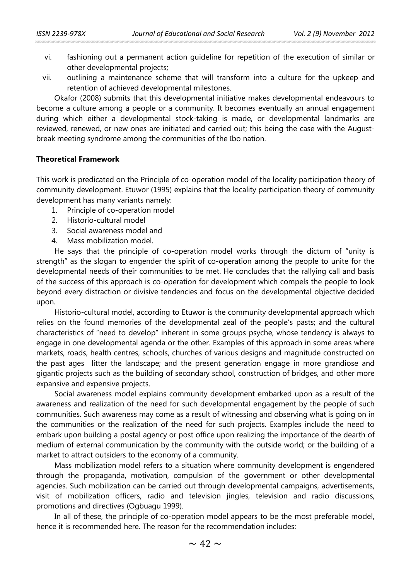- vi. fashioning out a permanent action guideline for repetition of the execution of similar or other developmental projects;
- vii. outlining a maintenance scheme that will transform into a culture for the upkeep and retention of achieved developmental milestones.

Okafor (2008) submits that this developmental initiative makes developmental endeavours to become a culture among a people or a community. It becomes eventually an annual engagement during which either a developmental stock-taking is made, or developmental landmarks are reviewed, renewed, or new ones are initiated and carried out; this being the case with the Augustbreak meeting syndrome among the communities of the Ibo nation.

#### **Theoretical Framework**

This work is predicated on the Principle of co-operation model of the locality participation theory of community development. Etuwor (1995) explains that the locality participation theory of community development has many variants namely:

- 1. Principle of co-operation model
- 2. Historio-cultural model
- 3. Social awareness model and
- 4. Mass mobilization model.

He says that the principle of co-operation model works through the dictum of "unity is strength" as the slogan to engender the spirit of co-operation among the people to unite for the developmental needs of their communities to be met. He concludes that the rallying call and basis of the success of this approach is co-operation for development which compels the people to look beyond every distraction or divisive tendencies and focus on the developmental objective decided upon.

Historio-cultural model, according to Etuwor is the community developmental approach which relies on the found memories of the developmental zeal of the people's pasts; and the cultural characteristics of "need to develop" inherent in some groups psyche, whose tendency is always to engage in one developmental agenda or the other. Examples of this approach in some areas where markets, roads, health centres, schools, churches of various designs and magnitude constructed on the past ages litter the landscape; and the present generation engage in more grandiose and gigantic projects such as the building of secondary school, construction of bridges, and other more expansive and expensive projects.

Social awareness model explains community development embarked upon as a result of the awareness and realization of the need for such developmental engagement by the people of such communities. Such awareness may come as a result of witnessing and observing what is going on in the communities or the realization of the need for such projects. Examples include the need to embark upon building a postal agency or post office upon realizing the importance of the dearth of medium of external communication by the community with the outside world; or the building of a market to attract outsiders to the economy of a community.

Mass mobilization model refers to a situation where community development is engendered through the propaganda, motivation, compulsion of the government or other developmental agencies. Such mobilization can be carried out through developmental campaigns, advertisements, visit of mobilization officers, radio and television jingles, television and radio discussions, promotions and directives (Ogbuagu 1999).

In all of these, the principle of co-operation model appears to be the most preferable model, hence it is recommended here. The reason for the recommendation includes: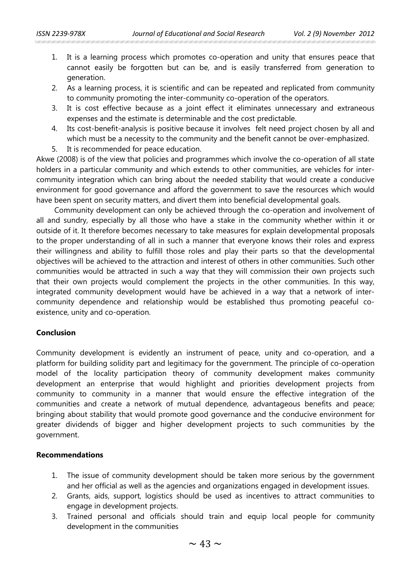- 1. It is a learning process which promotes co-operation and unity that ensures peace that cannot easily be forgotten but can be, and is easily transferred from generation to generation.
- 2. As a learning process, it is scientific and can be repeated and replicated from community to community promoting the inter-community co-operation of the operators.
- 3. It is cost effective because as a joint effect it eliminates unnecessary and extraneous expenses and the estimate is determinable and the cost predictable.
- 4. Its cost-benefit-analysis is positive because it involves felt need project chosen by all and which must be a necessity to the community and the benefit cannot be over-emphasized.
- 5. It is recommended for peace education.

Akwe (2008) is of the view that policies and programmes which involve the co-operation of all state holders in a particular community and which extends to other communities, are vehicles for intercommunity integration which can bring about the needed stability that would create a conducive environment for good governance and afford the government to save the resources which would have been spent on security matters, and divert them into beneficial developmental goals.

Community development can only be achieved through the co-operation and involvement of all and sundry, especially by all those who have a stake in the community whether within it or outside of it. It therefore becomes necessary to take measures for explain developmental proposals to the proper understanding of all in such a manner that everyone knows their roles and express their willingness and ability to fulfill those roles and play their parts so that the developmental objectives will be achieved to the attraction and interest of others in other communities. Such other communities would be attracted in such a way that they will commission their own projects such that their own projects would complement the projects in the other communities. In this way, integrated community development would have be achieved in a way that a network of intercommunity dependence and relationship would be established thus promoting peaceful coexistence, unity and co-operation.

### **Conclusion**

Community development is evidently an instrument of peace, unity and co-operation, and a platform for building solidity part and legitimacy for the government. The principle of co-operation model of the locality participation theory of community development makes community development an enterprise that would highlight and priorities development projects from community to community in a manner that would ensure the effective integration of the communities and create a network of mutual dependence, advantageous benefits and peace; bringing about stability that would promote good governance and the conducive environment for greater dividends of bigger and higher development projects to such communities by the government.

### **Recommendations**

- 1. The issue of community development should be taken more serious by the government and her official as well as the agencies and organizations engaged in development issues.
- 2. Grants, aids, support, logistics should be used as incentives to attract communities to engage in development projects.
- 3. Trained personal and officials should train and equip local people for community development in the communities